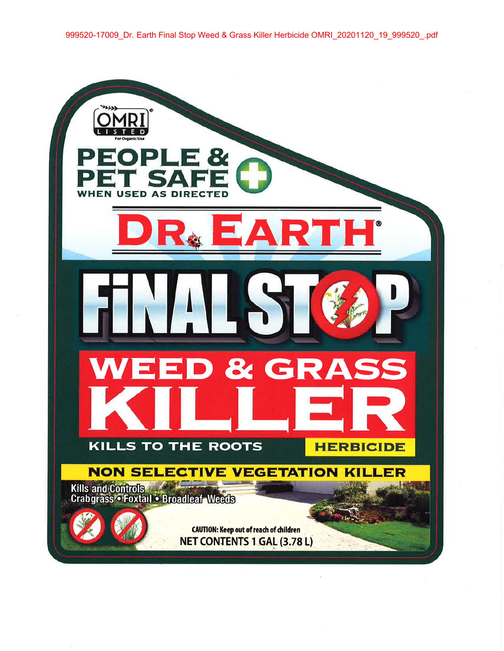999520-17009\_Dr. Earth Final Stop Weed & Grass Killer Herbicide OMRI\_20201120\_19\_999520\_.pdf